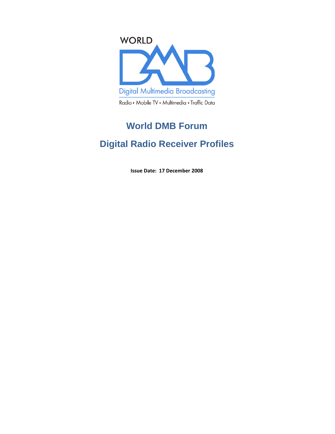

# **World DMB Forum**

# **Digital Radio Receiver Profiles**

Issue Date: 17 December 2008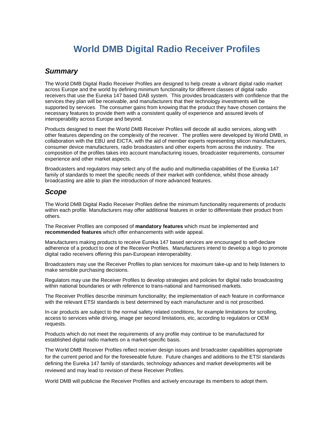# **World DMB Digital Radio Receiver Profiles**

#### **Summary**

The World DMB Digital Radio Receiver Profiles are designed to help create a vibrant digital radio market across Europe and the world by defining minimum functionality for different classes of digital radio receivers that use the Eureka 147 based DAB system. This provides broadcasters with confidence that the services they plan will be receivable, and manufacturers that their technology investments will be supported by services. The consumer gains from knowing that the product they have chosen contains the necessary features to provide them with a consistent quality of experience and assured levels of interoperability across Europe and beyond.

Products designed to meet the World DMB Receiver Profiles will decode all audio services, along with other features depending on the complexity of the receiver. The profiles were developed by World DMB, in collaboration with the EBU and EICTA, with the aid of member experts representing silicon manufacturers, consumer device manufacturers, radio broadcasters and other experts from across the industry. The composition of the profiles takes into account manufacturing issues, broadcaster requirements, consumer experience and other market aspects.

Broadcasters and regulators may select any of the audio and multimedia capabilities of the Eureka 147 family of standards to meet the specific needs of their market with confidence, whilst those already broadcasting are able to plan the introduction of more advanced features.

#### **Scope**

The World DMB Digital Radio Receiver Profiles define the minimum functionality requirements of products within each profile. Manufacturers may offer additional features in order to differentiate their product from others.

The Receiver Profiles are composed of **mandatory features** which must be implemented and **recommended features** which offer enhancements with wide appeal.

Manufacturers making products to receive Eureka 147 based services are encouraged to self-declare adherence of a product to one of the Receiver Profiles. Manufacturers intend to develop a logo to promote digital radio receivers offering this pan-European interoperability.

Broadcasters may use the Receiver Profiles to plan services for maximum take-up and to help listeners to make sensible purchasing decisions.

Regulators may use the Receiver Profiles to develop strategies and policies for digital radio broadcasting within national boundaries or with reference to trans-national and harmonised markets.

The Receiver Profiles describe minimum functionality; the implementation of each feature in conformance with the relevant ETSI standards is best determined by each manufacturer and is not proscribed.

In-car products are subject to the normal safety related conditions, for example limitations for scrolling, access to services while driving, image per second limitations, etc, according to regulators or OEM requests.

Products which do not meet the requirements of any profile may continue to be manufactured for established digital radio markets on a market-specific basis.

The World DMB Receiver Profiles reflect receiver design issues and broadcaster capabilities appropriate for the current period and for the foreseeable future. Future changes and additions to the ETSI standards defining the Eureka 147 family of standards, technology advances and market developments will be reviewed and may lead to revision of these Receiver Profiles.

World DMB will publicise the Receiver Profiles and actively encourage its members to adopt them.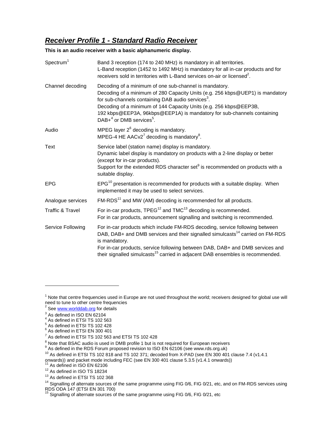## **Receiver Profile 1 - Standard Radio Receiver**

**This is an audio receiver with a basic alphanumeric display.** 

| Spectrum <sup>1</sup>       | Band 3 reception (174 to 240 MHz) is mandatory in all territories.<br>L-Band reception (1452 to 1492 MHz) is mandatory for all in-car products and for<br>receivers sold in territories with L-Band services on-air or licensed <sup>2</sup> .                                                                                                                                                    |
|-----------------------------|---------------------------------------------------------------------------------------------------------------------------------------------------------------------------------------------------------------------------------------------------------------------------------------------------------------------------------------------------------------------------------------------------|
| Channel decoding            | Decoding of a minimum of one sub-channel is mandatory.<br>Decoding of a minimum of 280 Capacity Units (e.g. 256 kbps@UEP1) is mandatory<br>for sub-channels containing DAB audio services <sup>3</sup> .<br>Decoding of a minimum of 144 Capacity Units (e.g. 256 kbps@EEP3B,<br>192 kbps@EEP3A, 96kbps@EEP1A) is mandatory for sub-channels containing<br>$DAB+4$ or DMB services <sup>5</sup> . |
| Audio                       | MPEG layer $2^6$ decoding is mandatory.<br>MPEG-4 HE AACv2 $^7$ decoding is mandatory $^8$ .                                                                                                                                                                                                                                                                                                      |
| Text                        | Service label (station name) display is mandatory.<br>Dynamic label display is mandatory on products with a 2-line display or better<br>(except for in-car products).<br>Support for the extended RDS character set <sup>9</sup> is recommended on products with a<br>suitable display.                                                                                                           |
| <b>EPG</b>                  | EPG <sup>10</sup> presentation is recommended for products with a suitable display. When<br>implemented it may be used to select services.                                                                                                                                                                                                                                                        |
| Analogue services           | FM-RDS <sup>11</sup> and MW (AM) decoding is recommended for all products.                                                                                                                                                                                                                                                                                                                        |
| <b>Traffic &amp; Travel</b> | For in-car products, $TPEG^{12}$ and $TMC^{13}$ decoding is recommended.<br>For in car products, announcement signalling and switching is recommended.                                                                                                                                                                                                                                            |
| Service Following           | For in-car products which include FM-RDS decoding, service following between<br>DAB, DAB+ and DMB services and their signalled simulcasts <sup>14</sup> carried on FM-RDS<br>is mandatory.<br>For in-car products, service following between DAB, DAB+ and DMB services and<br>their signalled simulcasts <sup>15</sup> carried in adjacent DAB ensembles is recommended.                         |

 $\overline{a}$ 

- As defined in ISO EN 62106
- <sup>12</sup> As defined in ISO TS 18234
- <sup>13</sup> As defined in ETSI TS 102 368

 $1$  Note that centre frequencies used in Europe are not used throughout the world; receivers designed for global use will need to tune to other centre frequencies

<sup>&</sup>lt;sup>2</sup> See www.worlddab.org for details

 $3$  As defined in ISO EN 62104

 $^{4}$  As defined in ETSI TS 102 563

<sup>5</sup> As defined in ETSI TS 102 428

<sup>6</sup> As defined in ETSI EN 300 401

 $7$  As defined in ETSI TS 102 563 and ETSI TS 102 428

 $^8$  Note that BSAC audio is used in DMB profile 1 but is not required for European receivers<br><sup>9</sup> As defined in the RDS Forum proposed revision to ISO EN 62106 (see www.rds.org.uk)

 $10$  As defined in ETSI TS 102 818 and TS 102 371; decoded from X-PAD (see EN 300 401 clause 7.4 (v1.4.1)

 $\frac{1}{2}$  contracts)) and packet mode including FEC (see EN 300 401 clause 5.3.5 (v1.4.1 onwards))

<sup>&</sup>lt;sup>14</sup> Signalling of alternate sources of the same programme using FIG 0/6, FIG 0/21, etc, and on FM-RDS services using RDS ODA 147 (ETSI EN 301 700)

 $15$  Signalling of alternate sources of the same programme using FIG 0/6, FIG 0/21, etc